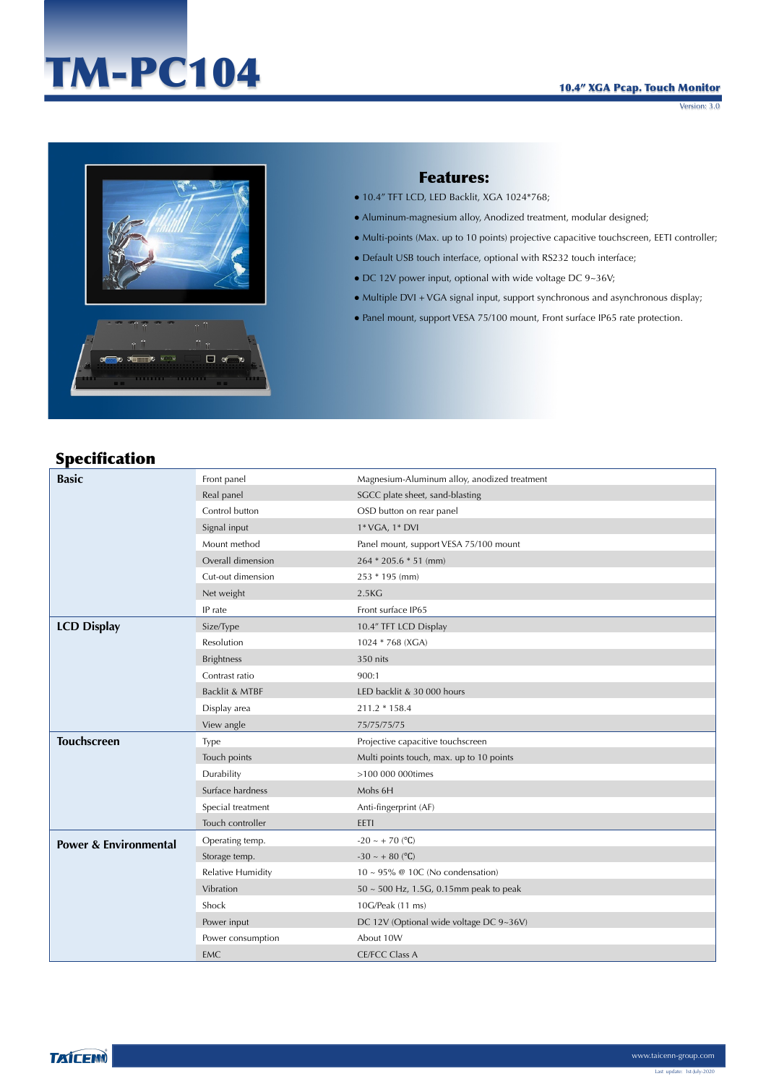# TM-PC104

#### 10.4" XGA Pcap. Touch Monitor

Version: 3.0



#### Features:

- $\bullet$  10.4" TFT LCD, LED Backlit, XGA 1024\*768;
- Aluminum-magnesium alloy, Anodized treatment, modular designed;
- Multi-points (Max. up to 10 points) projective capacitive touchscreen, EETI controller;
- Default USB touch interface, optional with RS232 touch interface;
- $\bullet$  DC 12V power input, optional with wide voltage DC 9~36V;
- Multiple DVI + VGA signal input, support synchronous and asynchronous display;
- Panel mount, support VESA 75/100 mount, Front surface IP65 rate protection.

### Specification

| <b>Basic</b>                     | Front panel              | Magnesium-Aluminum alloy, anodized treatment |
|----------------------------------|--------------------------|----------------------------------------------|
|                                  | Real panel               | SGCC plate sheet, sand-blasting              |
|                                  | Control button           | OSD button on rear panel                     |
|                                  | Signal input             | 1* VGA, 1* DVI                               |
|                                  | Mount method             | Panel mount, support VESA 75/100 mount       |
|                                  | Overall dimension        | $264 * 205.6 * 51$ (mm)                      |
|                                  | Cut-out dimension        | 253 * 195 (mm)                               |
|                                  | Net weight               | 2.5 <sub>K</sub> G                           |
|                                  | IP rate                  | Front surface IP65                           |
| <b>LCD Display</b>               | Size/Type                | 10.4" TFT LCD Display                        |
|                                  | Resolution               | 1024 * 768 (XGA)                             |
|                                  | <b>Brightness</b>        | 350 nits                                     |
|                                  | Contrast ratio           | 900:1                                        |
|                                  | Backlit & MTBF           | LED backlit & 30 000 hours                   |
|                                  | Display area             | 211.2 * 158.4                                |
|                                  | View angle               | 75/75/75/75                                  |
| <b>Touchscreen</b>               | Type                     | Projective capacitive touchscreen            |
|                                  | Touch points             | Multi points touch, max. up to 10 points     |
|                                  | Durability               | >100 000 000times                            |
|                                  | Surface hardness         | Mohs 6H                                      |
|                                  | Special treatment        | Anti-fingerprint (AF)                        |
|                                  | Touch controller         | EETI                                         |
| <b>Power &amp; Environmental</b> | Operating temp.          | $-20 \sim +70$ (°C)                          |
|                                  | Storage temp.            | $-30 \sim +80$ (°C)                          |
|                                  | <b>Relative Humidity</b> | $10 \sim 95\%$ @ 10C (No condensation)       |
|                                  | Vibration                | 50 ~ 500 Hz, 1.5G, 0.15mm peak to peak       |
|                                  | Shock                    | 10G/Peak (11 ms)                             |
|                                  | Power input              | DC 12V (Optional wide voltage DC 9~36V)      |
|                                  | Power consumption        | About 10W                                    |
|                                  | EMC                      | <b>CE/FCC Class A</b>                        |